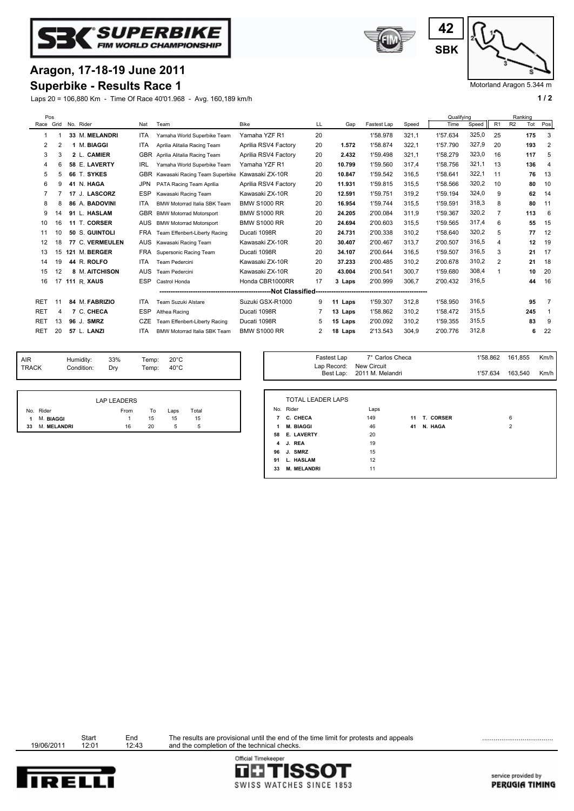



Laps 20 = 106,880 Km - Time Of Race 40'01.968 - Avg. 160,189 km/h **1 / 2 1 / 2 1 / 2 1 / 2 1 / 2 1 / 2 1 / 2 1 / 2 1 / 2 1 / 2 1 / 2 1 / 2 1 / 2 1 / 2 1 / 2 1 / 2 1 / 2 1 / 2 1 1 / 2** 





Motorland Aragon 5.344 m

| Pos        |                |    |                    |            |                                |                      |    |            |             |       | Qualifving |       |                |                | Ranking |                |
|------------|----------------|----|--------------------|------------|--------------------------------|----------------------|----|------------|-------------|-------|------------|-------|----------------|----------------|---------|----------------|
| Race Grid  |                |    | No. Rider          | Nat        | Team                           | <b>Bike</b>          | LL | Gap        | Fastest Lap | Speed | Time       | Speed | R <sub>1</sub> | R <sub>2</sub> | Tot     | Pos            |
| -1         |                |    | 33 M. MELANDRI     | ITA.       | Yamaha World Superbike Team    | Yamaha YZF R1        | 20 |            | 1'58.978    | 321.1 | 1'57.634   | 325,0 | 25             |                | 175     | 3              |
| 2          | $\overline{2}$ |    | <b>M. BIAGGI</b>   | <b>ITA</b> | Aprilia Alitalia Racing Team   | Aprilia RSV4 Factory | 20 | 1.572      | 1'58.874    | 322.1 | 1'57.790   | 327,9 | 20             |                | 193     | 2              |
| 3          | 3              |    | 2 L. CAMIER        | <b>GBR</b> | Aprilia Alitalia Racing Team   | Aprilia RSV4 Factory | 20 | 2.432      | 1'59.498    | 321.1 | 1'58.279   | 323,0 | 16             |                | 117     | 5              |
| 4          | 6              |    | 58 E. LAVERTY      | IRL        | Yamaha World Superbike Team    | Yamaha YZF R1        | 20 | 10.799     | 1'59.560    | 317.4 | 1'58.756   | 321,1 | 13             |                | 136     | $\overline{4}$ |
| 5          | 5              | 66 | T. SYKES           | <b>GBR</b> | Kawasaki Racing Team Superbike | Kawasaki ZX-10R      | 20 | 10.847     | 1'59.542    | 316,5 | 1'58.641   | 322.1 | 11             |                | 76      | 13             |
| 6          | 9              | 41 | N. HAGA            | <b>JPN</b> | PATA Racing Team Aprilia       | Aprilia RSV4 Factory | 20 | 11.931     | 1'59.815    | 315.5 | 1'58.566   | 320,2 | 10             |                | 80      | 10             |
| 7          |                |    | 17 J. LASCORZ      | <b>ESP</b> | Kawasaki Racing Team           | Kawasaki ZX-10R      | 20 | 12.591     | 1'59.751    | 319.2 | 1'59.194   | 324,0 | 9              |                | 62      | 14             |
| 8          | 8              |    | 86 A. BADOVINI     | <b>ITA</b> | BMW Motorrad Italia SBK Team   | <b>BMW S1000 RR</b>  | 20 | 16.954     | 1'59.744    | 315.5 | 1'59.591   | 318,3 | 8              |                | 80      | 11             |
| 9          | 14             |    | 91 L. HASLAM       | <b>GBR</b> | <b>BMW Motorrad Motorsport</b> | <b>BMW S1000 RR</b>  | 20 | 24.205     | 2'00.084    | 311.9 | 1'59.367   | 320,2 | 7              |                | 113     | 6              |
| 10         | 16             |    | 11 T. CORSER       | <b>AUS</b> | <b>BMW Motorrad Motorsport</b> | <b>BMW S1000 RR</b>  | 20 | 24.694     | 2'00.603    | 315.5 | 1'59.565   | 317,4 | 6              |                | 55      | 15             |
| 11         | 10             |    | 50 S. GUINTOLI     | <b>FRA</b> | Team Effenbert-Liberty Racing  | Ducati 1098R         | 20 | 24.731     | 2'00.338    | 310.2 | 1'58.640   | 320,2 | 5              |                | 77      | 12             |
| 12         | 18             |    | 77 C. VERMEULEN    | <b>AUS</b> | Kawasaki Racing Team           | Kawasaki ZX-10R      | 20 | 30.407     | 2'00.467    | 313,7 | 2'00.507   | 316,5 | 4              |                | 12      | 19             |
| 13         | 15             |    | 121 M. BERGER      | <b>FRA</b> | Supersonic Racing Team         | Ducati 1098R         | 20 | 34.107     | 2'00.644    | 316,5 | 1'59.507   | 316,5 | 3              |                | 21      | 17             |
| 14         | 19             |    | 44 R. ROLFO        | <b>ITA</b> | <b>Team Pedercini</b>          | Kawasaki ZX-10R      | 20 | 37.233     | 2'00.485    | 310,2 | 2'00.678   | 310,2 | 2              |                | 21      | 18             |
| 15         | 12             |    | 8 M. AITCHISON     | <b>AUS</b> | <b>Team Pedercini</b>          | Kawasaki ZX-10R      | 20 | 43.004     | 2'00.541    | 300.7 | 1'59.680   | 308,4 |                |                | 10      | 20             |
| 16         | 17             |    | <b>111 R. XAUS</b> | <b>ESP</b> | Castrol Honda                  | Honda CBR1000RR      | 17 | 3 Laps     | 2'00.999    | 306.7 | 2'00.432   | 316.5 |                |                | 44      | 16             |
|            |                |    |                    |            |                                |                      |    |            |             |       |            |       |                |                |         |                |
| <b>RET</b> | 11             |    | 84 M. FABRIZIO     | <b>ITA</b> | Team Suzuki Alstare            | Suzuki GSX-R1000     | 9  | 11<br>Laps | 1'59.307    | 312.8 | 1'58.950   | 316.5 |                |                | 95      | 7              |
| <b>RET</b> | 4              |    | 7 C. CHECA         | <b>ESP</b> | Althea Racing                  | Ducati 1098R         |    | 13 Laps    | 1'58.862    | 310.2 | 1'58.472   | 315.5 |                |                | 245     | -1             |
| <b>RET</b> | 13             |    | 96 J. SMRZ         | <b>CZE</b> | Team Effenbert-Liberty Racing  | Ducati 1098R         | 5  | 15 Laps    | 2'00.092    | 310.2 | 1'59.355   | 315,5 |                |                | 83      | 9              |
| <b>RET</b> | 20             |    | 57 L. LANZI        | <b>ITA</b> | BMW Motorrad Italia SBK Team   | <b>BMW S1000 RR</b>  | 2  | 18 Laps    | 2'13.543    | 304.9 | 2'00.776   | 312,8 |                |                | 6       | 22             |
|            |                |    |                    |            |                                |                      |    |            |             |       |            |       |                |                |         |                |

| <b>AIR</b>   | Humidity:  | 33% | Temp: $20^{\circ}$ C |  |
|--------------|------------|-----|----------------------|--|
| <b>TRACK</b> | Condition: | Drv | Temp: $40^{\circ}$ C |  |
|              |            |     |                      |  |

|    |             | LAP LEADERS |    |      |       |
|----|-------------|-------------|----|------|-------|
|    | No. Rider   | From        | To | Laps | Total |
| 1  | M. BIAGGI   | 1.          | 15 | 15   | 15    |
| 33 | M. MELANDRI | 16          | 20 | 5    | 5     |

| Temp:<br>Temp: | $20^{\circ}$ C<br>$40^{\circ}$ C |       |    | Fastest Lap              | 7° Carlos Checa<br>Lap Record: New Circuit<br>Best Lap: 2011 M. Melandri |    |              | 1'58.862<br>1'57.634 | 161,855<br>163,540 | Km/h<br>Km/h |
|----------------|----------------------------------|-------|----|--------------------------|--------------------------------------------------------------------------|----|--------------|----------------------|--------------------|--------------|
|                |                                  |       |    |                          |                                                                          |    |              |                      |                    |              |
|                |                                  |       |    | <b>TOTAL LEADER LAPS</b> |                                                                          |    |              |                      |                    |              |
| To             | Laps                             | Total |    | No. Rider                | Laps                                                                     |    |              |                      |                    |              |
| 15             | 15                               | 15    |    | 7 C. CHECA               | 149                                                                      |    | 11 T. CORSER |                      | 6                  |              |
| 20             | 5                                | 5     | 1  | M. BIAGGI                | 46                                                                       | 41 | N. HAGA      |                      | $\overline{2}$     |              |
|                |                                  |       |    | 58 E. LAVERTY            | 20                                                                       |    |              |                      |                    |              |
|                |                                  |       |    | 4 J. REA                 | 19                                                                       |    |              |                      |                    |              |
|                |                                  |       |    | 96 J. SMRZ               | 15                                                                       |    |              |                      |                    |              |
|                |                                  |       | 91 | L. HASLAM                | 12                                                                       |    |              |                      |                    |              |
|                |                                  |       | 33 | <b>M. MELANDRI</b>       | 11                                                                       |    |              |                      |                    |              |

Start End<br>19/06/2011 12:01 12:43

Start End The results are provisional until the end of the time limit for protests and appeals<br>12:01 12:43 and the completion of the technical checks.



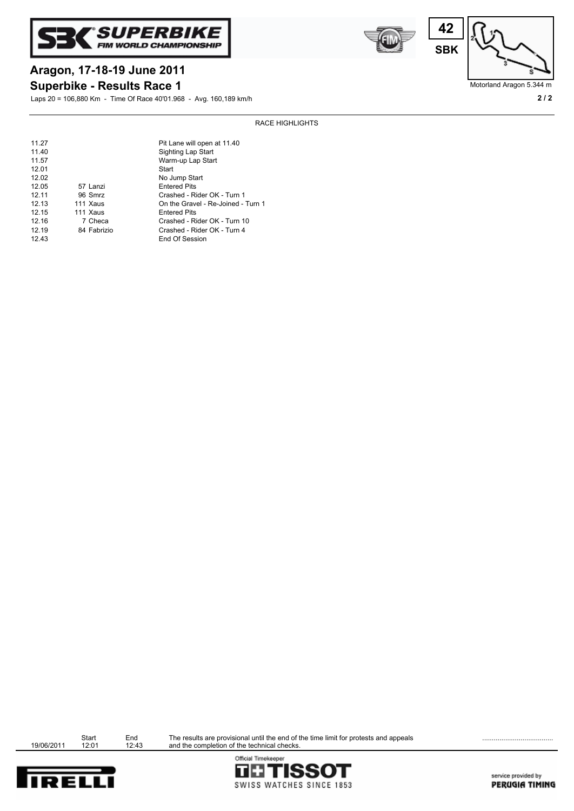





Motorland Aragon 5.344 m

# **Superbike - Results Race 1 Aragon, 17-18-19 June 2011**

Laps 20 = 106,880 Km - Time Of Race 40'01.968 - Avg. 160,189 km/h **2 / 2**

## RACE HIGHLIGHTS

| 11.27<br>11.40 |             | Pit Lane will open at 11.40<br>Sighting Lap Start |
|----------------|-------------|---------------------------------------------------|
| 11.57<br>12.01 |             | Warm-up Lap Start<br>Start                        |
| 12.02          |             | No Jump Start                                     |
| 12.05          | 57 Lanzi    | <b>Entered Pits</b>                               |
| 12.11          | 96 Smrz     | Crashed - Rider OK - Turn 1                       |
| 12.13          | 111 Xaus    | On the Gravel - Re-Joined - Turn 1                |
| 12.15          | 111 Xaus    | <b>Entered Pits</b>                               |
| 12.16          | 7 Checa     | Crashed - Rider OK - Turn 10                      |
| 12.19          | 84 Fabrizio | Crashed - Rider OK - Turn 4                       |
| 12.43          |             | End Of Session                                    |

|            | Start | Fnd   |
|------------|-------|-------|
| 19/06/2011 | 12:01 | 12:43 |

Start End The results are provisional until the end of the time limit for protests and appeals<br>12:01 12:43 and the completion of the technical checks.



Official Timekeeper **TETISSOT** SWISS WATCHES SINCE 1853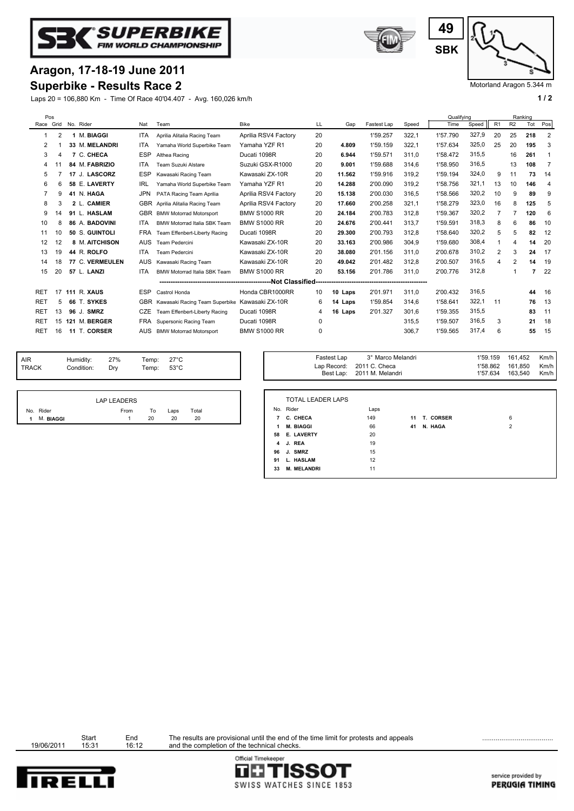



Laps 20 = 106,880 Km - Time Of Race 40'04.407 - Avg. 160,026 km/h **1 / 2 1 / 2** 





Motorland Aragon 5.344 m

|                 | Pos       |    |                 |            |                                     |                      |    |         |             |       | Qualifving |       |    |                | Ranking |                |
|-----------------|-----------|----|-----------------|------------|-------------------------------------|----------------------|----|---------|-------------|-------|------------|-------|----|----------------|---------|----------------|
|                 | Race Grid |    | No. Rider       | Nat        | Team                                | <b>Bike</b>          | LL | Gap     | Fastest Lap | Speed | Time       | Speed | R1 | R <sub>2</sub> | Tot     | Pos            |
|                 | 2         |    | 1 M. BIAGGI     | <b>ITA</b> | Aprilia Alitalia Racing Team        | Aprilia RSV4 Factory | 20 |         | 1'59.257    | 322,1 | 1'57.790   | 327,9 | 20 | 25             | 218     | $\overline{2}$ |
| 2               |           |    | 33 M. MELANDRI  | <b>ITA</b> | Yamaha World Superbike Team         | Yamaha YZF R1        | 20 | 4.809   | 1'59.159    | 322,1 | 1'57.634   | 325,0 | 25 | 20             | 195     | 3              |
| 3               |           |    | 7 C. CHECA      | <b>ESP</b> | Althea Racing                       | Ducati 1098R         | 20 | 6.944   | 1'59.571    | 311.0 | 1'58.472   | 315.5 |    | 16             | 261     |                |
| 4               |           |    | 84 M. FABRIZIO  | ITA.       | Team Suzuki Alstare                 | Suzuki GSX-R1000     | 20 | 9.001   | 1'59.688    | 314.6 | 1'58.950   | 316.5 |    | 13             | 108     | 7              |
| 5               |           |    | 17 J. LASCORZ   | <b>ESP</b> | Kawasaki Racing Team                | Kawasaki ZX-10R      | 20 | 11.562  | 1'59.916    | 319.2 | 1'59.194   | 324,0 | 9  | 11             | 73      | 14             |
| 6               | 6         |    | 58 E. LAVERTY   | <b>IRL</b> | Yamaha World Superbike Team         | Yamaha YZF R1        | 20 | 14.288  | 2'00.090    | 319.2 | 1'58.756   | 321.1 | 13 | 10             | 146     | $\overline{4}$ |
|                 | g         |    | 41 N. HAGA      | <b>JPN</b> | PATA Racing Team Aprilia            | Aprilia RSV4 Factory | 20 | 15.138  | 2'00.030    | 316.5 | 1'58.566   | 320,2 | 10 | 9              | 89      | 9              |
| 8               | 3         |    | 2 L. CAMIER     | <b>GBR</b> | Aprilia Alitalia Racing Team        | Aprilia RSV4 Factory | 20 | 17.660  | 2'00.258    | 321.1 | 1'58.279   | 323,0 | 16 | 8              | 125     | 5              |
| 9               | 14        |    | 91 L. HASLAM    | <b>GBR</b> | <b>BMW Motorrad Motorsport</b>      | <b>BMW S1000 RR</b>  | 20 | 24.184  | 2'00.783    | 312,8 | 1'59.367   | 320,2 | 7  | 7              | 120     | 6              |
| 10              | 8         |    | 86 A. BADOVINI  | ITA.       | <b>BMW Motorrad Italia SBK Team</b> | <b>BMW S1000 RR</b>  | 20 | 24.676  | 2'00.441    | 313,7 | 1'59.591   | 318,3 | 8  | 6              | 86      | 10             |
| 11              | 10        |    | 50 S. GUINTOLI  | <b>FRA</b> | Team Effenbert-Liberty Racing       | Ducati 1098R         | 20 | 29.300  | 2'00.793    | 312,8 | 1'58.640   | 320,2 | 5  | 5              | 82      | 12             |
| 12              | 12        |    | 8 M. AITCHISON  | <b>AUS</b> | Team Pedercini                      | Kawasaki ZX-10R      | 20 | 33.163  | 2'00.986    | 304.9 | 1'59.680   | 308,4 |    | 4              | 14      | 20             |
| 13              | 19        |    | 44 R. ROLFO     | <b>ITA</b> | Team Pedercini                      | Kawasaki ZX-10R      | 20 | 38.080  | 2'01.156    | 311.0 | 2'00.678   | 310,2 | 2  | 3              | 24      | 17             |
| 14              | 18        |    | 77 C. VERMEULEN | <b>AUS</b> | Kawasaki Racing Team                | Kawasaki ZX-10R      | 20 | 49.042  | 2'01.482    | 312.8 | 2'00.507   | 316,5 | 4  | 2              | 14      | 19             |
| 15              | 20        |    | 57 L. LANZI     | <b>ITA</b> | <b>BMW Motorrad Italia SBK Team</b> | <b>BMW S1000 RR</b>  | 20 | 53.156  | 2'01.786    | 311.0 | 2'00.776   | 312,8 |    |                | 7       | 22             |
|                 |           |    |                 |            |                                     |                      |    |         |             |       |            |       |    |                |         |                |
| RET             | 17        |    | 111 R. XAUS     | <b>ESP</b> | Castrol Honda                       | Honda CBR1000RR      | 10 | 10 Laps | 2'01.971    | 311.0 | 2'00.432   | 316.5 |    |                | 44      | 16             |
| <b>RET</b>      | 5         |    | 66 T. SYKES     | <b>GBR</b> | Kawasaki Racing Team Superbike      | Kawasaki ZX-10R      | 6  | 14 Laps | 1'59.854    | 314.6 | 1'58.641   | 322,1 | 11 |                | 76      | 13             |
| <b>RET</b>      | 13        |    | 96 J. SMRZ      | <b>CZE</b> | Team Effenbert-Liberty Racing       | Ducati 1098R         | 4  | 16 Laps | 2'01.327    | 301.6 | 1'59.355   | 315.5 |    |                | 83      | 11             |
| RE <sub>1</sub> | 15        |    | 121 M. BERGER   | <b>FRA</b> | Supersonic Racing Team              | Ducati 1098R         | 0  |         |             | 315.5 | 1'59.507   | 316,5 | 3  |                | 21      | 18             |
| <b>RET</b>      | 16        | 11 | T. CORSER       | AUS        | <b>BMW Motorrad Motorsport</b>      | <b>BMW S1000 RR</b>  | 0  |         |             | 306,7 | 1'59.565   | 317,4 | 6  |                | 55      | 15             |
|                 |           |    |                 |            |                                     |                      |    |         |             |       |            |       |    |                |         |                |

| <b>AIR</b><br><b>TRACK</b> | Humidity:<br>Condition: | 27%<br>Drv | Temp: $27^{\circ}$ C<br>Temp: 53°C |  |  |  |  |  |
|----------------------------|-------------------------|------------|------------------------------------|--|--|--|--|--|
|                            |                         |            |                                    |  |  |  |  |  |
|                            | <b>LAP LEADERS</b>      |            |                                    |  |  |  |  |  |

|     |           | LAP LEADERS |    |      |       |
|-----|-----------|-------------|----|------|-------|
| No. | Rider     | From        | To | ∟aps | Total |
|     | M. BIAGGI |             |    |      |       |

| 1'59.159<br>3° Marco Melandri<br>Fastest Lap<br>Temp:<br>27°C<br>1'58.862 161.850<br>Lap Record: 2011 C. Checa<br>Temp:<br>$53^{\circ}$ C<br>Best Lap: 2011 M. Melandri<br>1'57.634 | 161.452<br>Km/h<br>Km/h<br>Km/h<br>163.540 |
|-------------------------------------------------------------------------------------------------------------------------------------------------------------------------------------|--------------------------------------------|
|-------------------------------------------------------------------------------------------------------------------------------------------------------------------------------------|--------------------------------------------|

|                | <b>TOTAL LEADER LAPS</b> |      |    |           |                |
|----------------|--------------------------|------|----|-----------|----------------|
|                | No. Rider                | Laps |    |           |                |
| 7              | C. CHECA                 | 149  | 11 | T. CORSER | 6              |
| 1              | <b>M. BIAGGI</b>         | 66   | 41 | N. HAGA   | $\overline{2}$ |
| 58             | <b>E. LAVERTY</b>        | 20   |    |           |                |
| $\overline{4}$ | J. REA                   | 19   |    |           |                |
| 96             | J. SMRZ                  | 15   |    |           |                |
| 91             | L. HASLAM                | 12   |    |           |                |
| 33             | <b>M. MELANDRI</b>       | 11   |    |           |                |
|                |                          |      |    |           |                |

Start End<br>19/06/2011 15:31 16:12

Start End The results are provisional until the end of the time limit for protests and appeals<br>15:31 16:12 and the completion of the technical checks.

**TETISSOT** 

SWISS WATCHES SINCE 1853

Official Timekeeper

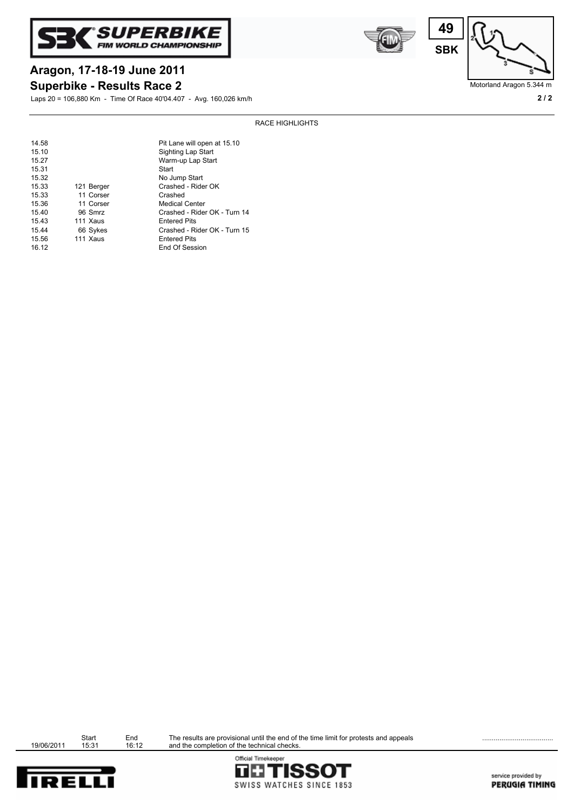





Motorland Aragon 5.344 m

# **Aragon, 17-18-19 June 2011**

**Superbike - Results Race 2**

Laps 20 = 106,880 Km - Time Of Race 40'04.407 - Avg. 160,026 km/h **2 / 2**

| 14.58 |            | Pit Lane will open at 15.10  |
|-------|------------|------------------------------|
| 15.10 |            | Sighting Lap Start           |
| 15.27 |            | Warm-up Lap Start            |
| 15.31 |            | Start                        |
| 15.32 |            | No Jump Start                |
| 15.33 | 121 Berger | Crashed - Rider OK           |
| 15.33 | 11 Corser  | Crashed                      |
| 15.36 | 11 Corser  | <b>Medical Center</b>        |
| 15.40 | 96 Smrz    | Crashed - Rider OK - Turn 14 |
| 15.43 | 111 Xaus   | <b>Entered Pits</b>          |
| 15.44 | 66 Sykes   | Crashed - Rider OK - Turn 15 |
| 15.56 | 111 Xaus   | <b>Entered Pits</b>          |
| 16.12 |            | End Of Session               |





Start End<br>19/06/2011 15:31 16:12

Start End The results are provisional until the end of the time limit for protests and appeals **Endingle Community** and the completion of the technical checks.



service provided by PERUGIA TIMING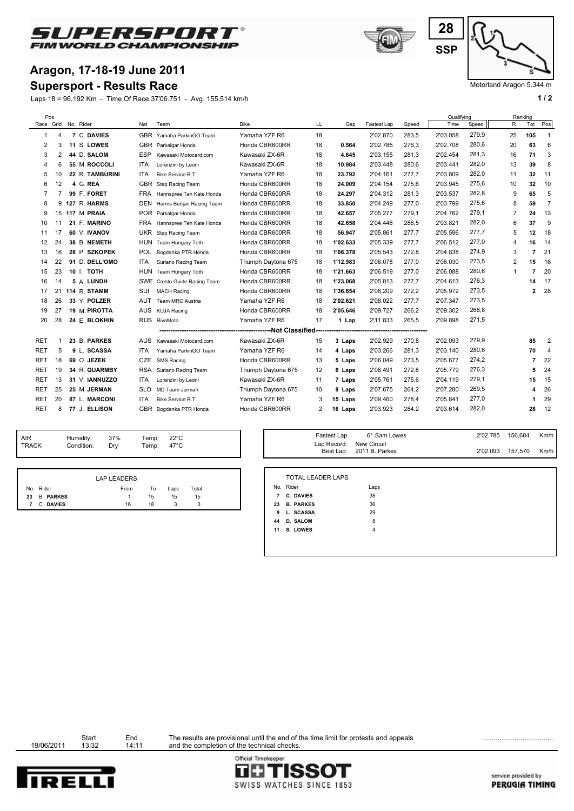

## **Aragon, 17-18-19 June 2011**

## **Supersport - Results Race**

Laps 18 = 96,192 Km - Time Of Race 37'06.751 - Avg. 155,514 km/h **1 and 2 1 and 2 1 a 1 a 1 a 1 a 1 a 1 a 1 a 1 a 1 a 1 a 1 a 1 a 1 a 1 a 1 a 1 a 1 a 1 a 1 a 1 a 1 a 1 a 1 a** 

![](_page_4_Picture_4.jpeg)

![](_page_4_Figure_5.jpeg)

Motorland Aragon 5.344 m

| Pos            |    |           |                 |            |                          |                     |    |          |             |       | Qualifying |       |                | Ranking |                |
|----------------|----|-----------|-----------------|------------|--------------------------|---------------------|----|----------|-------------|-------|------------|-------|----------------|---------|----------------|
| Race Grid      |    | No. Rider |                 | Nat        | Team                     | <b>Bike</b>         | LL | Gap      | Fastest Lap | Speed | Time       | Speed | R              | Tot     | Pos            |
| $\overline{1}$ | 4  |           | 7 C. DAVIES     | <b>GBR</b> | Yamaha ParkinGO Team     | Yamaha YZF R6       | 18 |          | 2'02.870    | 283,5 | 2'03.058   | 279,9 | 25             | 105     | $\mathbf{1}$   |
| 2              | 3  |           | 11 S. LOWES     |            | GBR Parkalgar Honda      | Honda CBR600RR      | 18 | 0.564    | 2'02.785    | 276,3 | 2'02.708   | 280,6 | 20             | 63      | 6              |
| 3              | 2  |           | 44 D. SALOM     | <b>ESP</b> | Kawasaki Motocard.com    | Kawasaki ZX-6R      | 18 | 4.645    | 2'03.155    | 281,3 | 2'02.454   | 281,3 | 16             | 71      | 3              |
| 4              | 6  |           | 55 M. ROCCOLI   | ITA        | Lorenzini by Leoni       | Kawasaki ZX-6R      | 18 | 10.984   | 2'03.448    | 280,6 | 2'03.441   | 282,0 | 13             | 39      | 8              |
| 5              | 10 |           | 22 R. TAMBURINI | <b>ITA</b> | Bike Service R.T.        | Yamaha YZF R6       | 18 | 23.792   | 2'04.161    | 277.7 | 2'03.809   | 282,0 | 11             | 32      | 11             |
| 6              | 12 |           | 4 G. REA        | <b>GBR</b> | Step Racing Team         | Honda CBR600RR      | 18 | 24.009   | 2'04.154    | 275.6 | 2'03.945   | 275,6 | 10             | 32      | 10             |
| 7              | 7  |           | 99 F. FORET     | <b>FRA</b> | Hannspree Ten Kate Honda | Honda CBR600RR      | 18 | 24.297   | 2'04.312    | 281,3 | 2'03.537   | 282,8 | 9              | 65      | 5              |
| 8              | 9  |           | 127 R. HARMS    | <b>DEN</b> | Harms Benjan Racing Team | Honda CBR600RR      | 18 | 33.850   | 2'04.249    | 277.0 | 2'03.799   | 275,6 | 8              | 59      | $\overline{7}$ |
| 9              | 15 |           | 117 M. PRAIA    |            | POR Parkalgar Honda      | Honda CBR600RR      | 18 | 42.657   | 2'05.277    | 279.1 | 2'04.762   | 279,1 | $\overline{7}$ | 24      | 13             |
| 10             | 11 |           | 21 F. MARINO    | <b>FRA</b> | Hannspree Ten Kate Honda | Honda CBR600RR      | 18 | 42.658   | 2'04.446    | 286.5 | 2'03.821   | 282,0 | 6              | 37      | 9              |
| 11             | 17 |           | 60 V. IVANOV    | <b>UKR</b> | Step Racing Team         | Honda CBR600RR      | 18 | 56.947   | 2'05.861    | 277,7 | 2'05.596   | 277,7 | 5              | 12      | 18             |
| 12             | 24 |           | 38 B. NEMETH    | HUN        | Team Hungary Toth        | Honda CBR600RR      | 18 | 1'02.633 | 2'05.339    | 277,7 | 2'06.512   | 277,0 | $\overline{4}$ | 16      | 14             |
| 13             | 16 |           | 28 P. SZKOPEK   | <b>POL</b> | Bogdanka PTR Honda       | Honda CBR600RR      | 18 | 1'06.378 | 2'05.543    | 272,8 | 2'04.838   | 274,9 | 3              |         | 21             |
| 14             | 22 |           | 91 D. DELL'OMO  | ITA        | Suriano Racing Team      | Triumph Daytona 675 | 18 | 1'12.983 | 2'06.078    | 277.0 | 2'06.030   | 273,5 | 2              | 15      | 16             |
| 15             | 23 |           | 10 I. TOTH      | <b>HUN</b> | Team Hungary Toth        | Honda CBR600RR      | 18 | 1'21.663 | 2'06.519    | 277,0 | 2'06.088   | 280,6 | $\mathbf{1}$   | 7       | 20             |
| 16             | 14 |           | 5 A. LUNDH      | <b>SWE</b> | Cresto Guide Racing Team | Honda CBR600RR      | 18 | 1'23.068 | 2'05.813    | 277,7 | 2'04.613   | 276,3 |                | 14      | 17             |
| 17             | 21 |           | 114 R. STAMM    | SUI        | <b>MACH Racing</b>       | Honda CBR600RR      | 18 | 1'36.654 | 2'06.209    | 272,2 | 2'05.972   | 273,5 |                | 2       | 28             |
| 18             | 26 |           | 33 Y. POLZER    | AUT        | Team MRC Austria         | Yamaha YZF R6       | 18 | 2'02.621 | 2'08.022    | 277,7 | 2'07.347   | 273,5 |                |         |                |
| 19             | 27 |           | 19 M. PIROTTA   | <b>AUS</b> | <b>KUJA Racing</b>       | Honda CBR600RR      | 18 | 2'05.646 | 2'09.727    | 266,2 | 2'09.302   | 268,8 |                |         |                |
| 20             | 28 |           | 24 E. BLOKHIN   |            | RUS RivaMoto             | Yamaha YZF R6       | 17 | 1 Lap    | 2'11.833    | 265.5 | 2'09.898   | 271.5 |                |         |                |
| -----------    |    |           |                 |            |                          |                     |    |          |             |       |            |       |                |         |                |
| <b>RET</b>     | 1  |           | 23 B. PARKES    | <b>AUS</b> | Kawasaki Motocard.com    | Kawasaki ZX-6R      | 15 | 3 Laps   | 2'02.929    | 270,8 | 2'02.093   | 279.9 |                | 85      | $\overline{2}$ |
| <b>RET</b>     | 5  |           | 9 L. SCASSA     | <b>ITA</b> | Yamaha ParkinGO Team     | Yamaha YZF R6       | 14 | 4 Laps   | 2'03.266    | 281,3 | 2'03.140   | 280,6 |                | 70      | 4              |
| <b>RET</b>     | 18 |           | 69 O. JEZEK     | CZE        | <b>SMS Racing</b>        | Honda CBR600RR      | 13 | 5 Laps   | 2'06.049    | 273,5 | 2'05.677   | 274,2 |                | 7       | 22             |
| <b>RET</b>     | 19 |           | 34 R. QUARMBY   | RSA        | Suriano Racing Team      | Triumph Daytona 675 | 12 | 6 Laps   | 2'06.491    | 272,8 | 2'05.779   | 276,3 |                | 5       | 24             |
| <b>RET</b>     | 13 |           | 31 V. IANNUZZO  | ITA        | Lorenzini by Leoni       | Kawasaki ZX-6R      | 11 | 7 Laps   | 2'05.761    | 275,6 | 2'04.119   | 279,1 |                | 15      | 15             |
| <b>RET</b>     | 25 |           | 25 M. JERMAN    | <b>SLO</b> | MD Team Jerman           | Triumph Daytona 675 | 10 | 8 Laps   | 2'07.675    | 264,2 | 2'07.280   | 269,5 |                | 4       | 26             |
| <b>RET</b>     | 20 |           | 87 L. MARCONI   | <b>ITA</b> | Bike Service R.T.        | Yamaha YZF R6       | 3  | 15 Laps  | 2'09.460    | 278,4 | 2'05.841   | 277,0 |                |         | 29             |
| <b>RET</b>     | 8  |           | 77 J. ELLISON   |            | GBR Bogdanka PTR Honda   | Honda CBR600RR      | 2  | 16 Laps  | 2'03.923    | 284,2 | 2'03.614   | 282,0 |                | 28      | 12             |
|                |    |           |                 |            |                          |                     |    |          |             |       |            |       |                |         |                |

| AIR          | Humidity:  | 37% | Temp: $22^{\circ}$ C |  |
|--------------|------------|-----|----------------------|--|
| <b>TRACK</b> | Condition: | Drv | Temp: $47^{\circ}$ C |  |
|              |            |     |                      |  |

|              | <b>LAP LEADERS</b> |    |      |       |
|--------------|--------------------|----|------|-------|
| No. Rider    | From               | To | Laps | Total |
| 23 B. PARKES |                    | 15 | 15   | 15    |
| 7 C. DAVIES  | 16                 | 18 |      |       |

| Temp:<br>Temp: | $22^{\circ}$ C<br>47°C |                               | Fastest Lap | 6° Sam Lowes<br>Lap Record: New Circuit<br>Best Lap: 2011 B. Parkes | 2'02.785 156,684<br>2'02.093 157,570 | Km/h<br>Km/h |
|----------------|------------------------|-------------------------------|-------------|---------------------------------------------------------------------|--------------------------------------|--------------|
|                |                        |                               |             |                                                                     |                                      |              |
|                |                        | TOTAL LEADER LAPS<br>No Didor |             | ه هم ا                                                              |                                      |              |

|                | No. Rider        | Laps           |
|----------------|------------------|----------------|
| $\overline{7}$ | <b>C. DAVIES</b> | 38             |
| 23             | <b>B. PARKES</b> | 36             |
| 9              | L. SCASSA        | 29             |
| 44             | <b>D. SALOM</b>  | 8              |
| 11             | S. LOWES         | $\overline{4}$ |
|                |                  |                |

Start End<br>19/06/2011 13:32 14:11

Start End The results are provisional until the end of the time limit for protests and appeals<br>13:32 14:11 and the completion of the technical checks.

Official Timekeeper

![](_page_4_Picture_16.jpeg)

**TETISSOT** SWISS WATCHES SINCE 1853